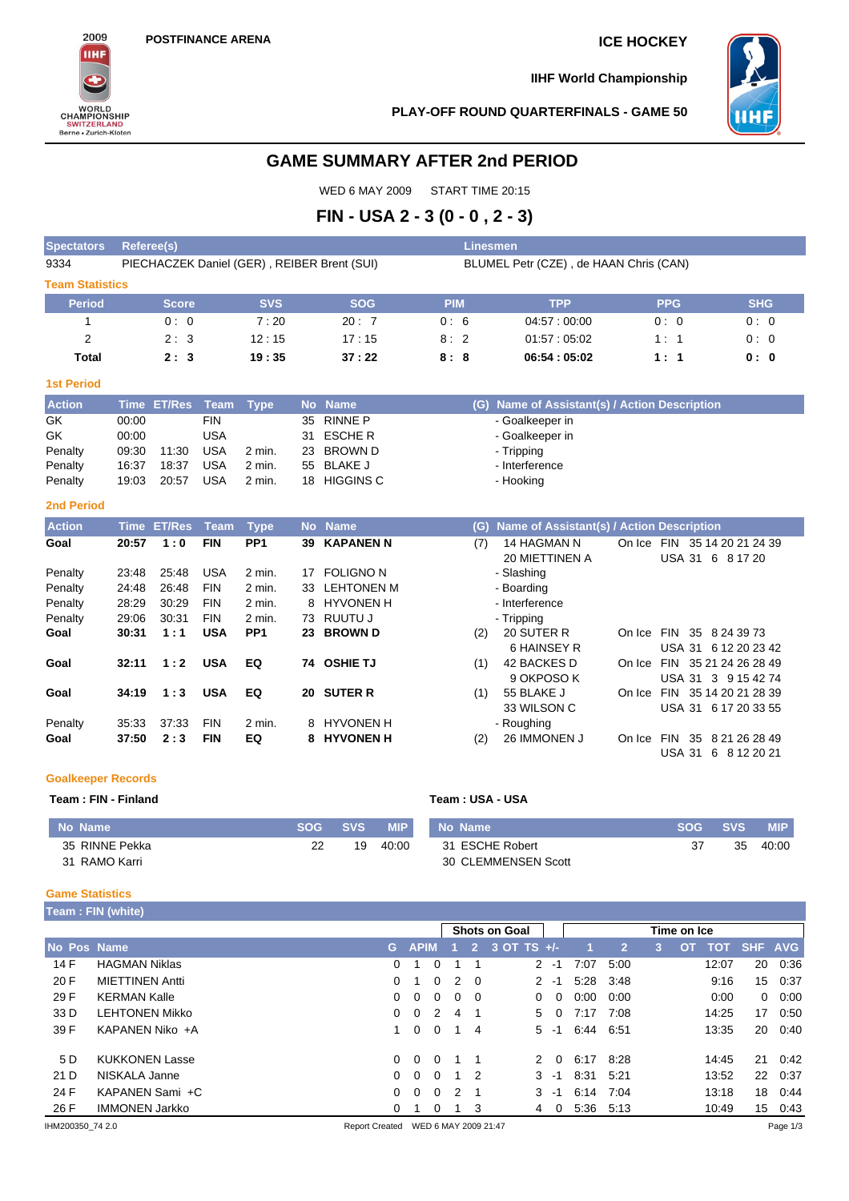

**IIHF World Championship**



**PLAY-OFF ROUND QUARTERFINALS - GAME 50**

6 HAINSEY R

9 OKPOSO K

33 WILSON C

**EQ 8 HYVONEN H** (2) 26 IMMONEN J On Ice FIN 35 8 21 26 28 49

On Ice FIN 35 8 24 39 73

On Ice FIN 35 21 24 26 28 49 USA 31 3 9 15 42 74

On Ice FIN 35 14 20 21 28 39 USA 31 6 17 20 33 55

USA 31 6 12 20 23 42

USA 31 6 8 12 20 21

# **GAME SUMMARY AFTER 2nd PERIOD**

WED 6 MAY 2009 START TIME 20:15

# **FIN - USA 2 - 3 (0 - 0 , 2 - 3)**

| <b>Spectators</b>      | <b>Referee(s)</b><br>Linesmen |               |            |                 |    |                                             |  |                                        |     |                                           |        |               |                                    |            |  |  |
|------------------------|-------------------------------|---------------|------------|-----------------|----|---------------------------------------------|--|----------------------------------------|-----|-------------------------------------------|--------|---------------|------------------------------------|------------|--|--|
| 9334                   |                               |               |            |                 |    | PIECHACZEK Daniel (GER), REIBER Brent (SUI) |  | BLUMEL Petr (CZE), de HAAN Chris (CAN) |     |                                           |        |               |                                    |            |  |  |
| <b>Team Statistics</b> |                               |               |            |                 |    |                                             |  |                                        |     |                                           |        |               |                                    |            |  |  |
| <b>Period</b>          |                               | <b>Score</b>  |            | <b>SVS</b>      |    | <b>SOG</b>                                  |  | <b>PIM</b>                             |     | <b>TPP</b>                                |        | <b>PPG</b>    |                                    | <b>SHG</b> |  |  |
|                        |                               | 0:0           |            | 7:20            |    | 20:7                                        |  | 0:6                                    |     | 04.57:00:00                               |        | 0:0           |                                    | 0:0        |  |  |
| $\overline{2}$         |                               | 2:3           |            | 12:15           |    | 17:15                                       |  | 8:2                                    |     | 01.57:05.02                               |        | 1:1           |                                    | 0:0        |  |  |
| <b>Total</b>           |                               | 2:3           |            | 19:35           |    | 37:22                                       |  | 8:8                                    |     | 06:54 : 05:02                             |        | 1:1           |                                    | 0:0        |  |  |
| <b>1st Period</b>      |                               |               |            |                 |    |                                             |  |                                        |     |                                           |        |               |                                    |            |  |  |
| <b>Action</b>          | <b>Time</b>                   | <b>ET/Res</b> | Team       | <b>Type</b>     |    | No Name                                     |  |                                        | (G) | Name of Assistant(s) / Action Description |        |               |                                    |            |  |  |
| GK                     | 00:00                         |               | <b>FIN</b> |                 | 35 | <b>RINNE P</b>                              |  |                                        |     | - Goalkeeper in                           |        |               |                                    |            |  |  |
| GK.                    | 00:00                         |               | <b>USA</b> |                 | 31 | <b>ESCHER</b>                               |  |                                        |     | - Goalkeeper in                           |        |               |                                    |            |  |  |
| Penalty                | 09:30                         | 11:30         | <b>USA</b> | $2$ min.        | 23 | <b>BROWN D</b>                              |  |                                        |     | - Tripping                                |        |               |                                    |            |  |  |
| Penalty                | 16:37                         | 18:37         | <b>USA</b> | 2 min.          | 55 | <b>BLAKE J</b>                              |  |                                        |     | - Interference                            |        |               |                                    |            |  |  |
| Penalty                | 19:03                         | 20:57         | <b>USA</b> | 2 min.          | 18 | <b>HIGGINS C</b>                            |  |                                        |     | - Hooking                                 |        |               |                                    |            |  |  |
| <b>2nd Period</b>      |                               |               |            |                 |    |                                             |  |                                        |     |                                           |        |               |                                    |            |  |  |
| <b>Action</b>          | <b>Time</b>                   | <b>ET/Res</b> | Team       | <b>Type</b>     |    | No Name                                     |  |                                        | (G) | Name of Assistant(s) / Action Description |        |               |                                    |            |  |  |
| Goal                   | 20:57                         | 1:0           | <b>FIN</b> | PP <sub>1</sub> | 39 | <b>KAPANEN N</b>                            |  |                                        | (7) | 14 HAGMAN N<br><b>20 MIETTINEN A</b>      | On Ice | <b>USA 31</b> | FIN 35 14 20 21 24 39<br>6 8 17 20 |            |  |  |
| Penalty                | 23:48                         | 25:48         | <b>USA</b> | 2 min.          | 17 | <b>FOLIGNO N</b>                            |  |                                        |     | - Slashing                                |        |               |                                    |            |  |  |

Penalty 24:48 26:48 FIN 2 min. 33 LEHTONEN M - Boarding Penalty 28:29 30:29 FIN 2 min. 8 HYVONEN H - Interference<br>
Penalty 29:06 30:31 FIN 2 min. 73 RUUTU J - Tripping 29:06 30:31 FIN 2 min. 73 RUUTU J - Tripping **Goal 30:31 1 : 1 USA PP1 23 BROWN D** (2) 20 SUTER R

Goal 32:11 1 : 2 USA EQ 74 OSHIE TJ (1) 42 BACKES D

**Goal 34:19 1 : 3 USA EQ 20 SUTER R** (1) 55 BLAKE J

| Penalty | 35:33 37:33 FIN | 2 min. | 8 HYVONEN H | - Roughing     |
|---------|-----------------|--------|-------------|----------------|
| Goal    | 37:50 2:3 FIN   | EQ.    | 8 HYVONEN H | $(2)$ 26 IMMON |
|         |                 |        |             |                |

## **Goalkeeper Records**

| Team: FIN - Finland |      |            | Team : USA - USA |                     |            |            |            |  |  |  |
|---------------------|------|------------|------------------|---------------------|------------|------------|------------|--|--|--|
| No Name             | SOG. | <b>SVS</b> | <b>MIP</b>       | No Name             | <b>SOG</b> | <b>SVS</b> | <b>MIP</b> |  |  |  |
| 35 RINNE Pekka      | 22   | 19         | 40:00            | 31 ESCHE Robert     | 37         | 35         | 40:00      |  |  |  |
| 31 RAMO Karri       |      |            |                  | 30 CLEMMENSEN Scott |            |            |            |  |  |  |

### **Game Statistics**

**Team : FIN (white)**

|                  |                        | <b>Shots on Goal</b><br>Time on Ice |                |                      |                |            |                 |          |      |                |   |    |       |                  |            |
|------------------|------------------------|-------------------------------------|----------------|----------------------|----------------|------------|-----------------|----------|------|----------------|---|----|-------|------------------|------------|
| No Pos Name      |                        | G.                                  |                | <b>APIM</b>          |                |            | 2 3 OT TS $+/-$ |          |      | 2 <sup>1</sup> | 3 | OТ | TOT   | SHF              | <b>AVG</b> |
| 14 F             | <b>HAGMAN Niklas</b>   | $\Omega$                            |                | $\Omega$             |                |            |                 | $2 - 1$  | 7:07 | 5:00           |   |    | 12:07 | 20               | 0:36       |
| 20 F             | <b>MIETTINEN Antti</b> | $\Omega$                            | - 1            | $\Omega$             | $\mathcal{P}$  | $\Omega$   |                 | $2 - 1$  | 5:28 | 3:48           |   |    | 9:16  | 15               | 0:37       |
| 29 F             | <b>KERMAN Kalle</b>    | $\Omega$                            | $\overline{0}$ | $\Omega$             | $\Omega$       | - 0        | $\Omega$        | $\Omega$ | 0:00 | 0:00           |   |    | 0:00  | $\Omega$         | 0:00       |
| 33 D             | <b>LEHTONEN Mikko</b>  |                                     | $0\quad 0$     | $\overline{2}$       | 4              |            | 5               | 0        | 7:17 | 7:08           |   |    | 14:25 | 17               | 0:50       |
| 39 F             | KAPANEN Niko +A        |                                     | 1 0            | $\Omega$             | $\overline{1}$ | 4          |                 | $5 - 1$  | 6:44 | 6:51           |   |    | 13:35 | 20               | 0:40       |
| 5 D              | <b>KUKKONEN Lasse</b>  |                                     | $0\quad 0$     | $\Omega$             |                |            |                 | 2 0      | 6:17 | 8:28           |   |    | 14:45 | 21               | 0:42       |
| 21 D             | NISKALA Janne          |                                     | $0\quad 0$     | $\overline{0}$       |                | $1\quad 2$ |                 | $3 - 1$  | 8:31 | 5:21           |   |    | 13:52 | 22               | 0:37       |
| 24 F             | KAPANEN Sami +C        | $\Omega$                            | $\overline{0}$ | $\Omega$             | - 2            |            |                 | $3 - 1$  | 6:14 | 7:04           |   |    | 13:18 | 18               | 0:44       |
| 26 F             | <b>IMMONEN Jarkko</b>  | 0                                   |                | $\mathbf 0$          |                | -3         | 4               | 0        |      | 5:36 5:13      |   |    | 10:49 | 15 <sup>15</sup> | 0:43       |
| IHM200350 74 2.0 |                        | <b>Report Created</b>               |                | WED 6 MAY 2009 21:47 |                |            |                 |          |      |                |   |    |       |                  | Page 1/3   |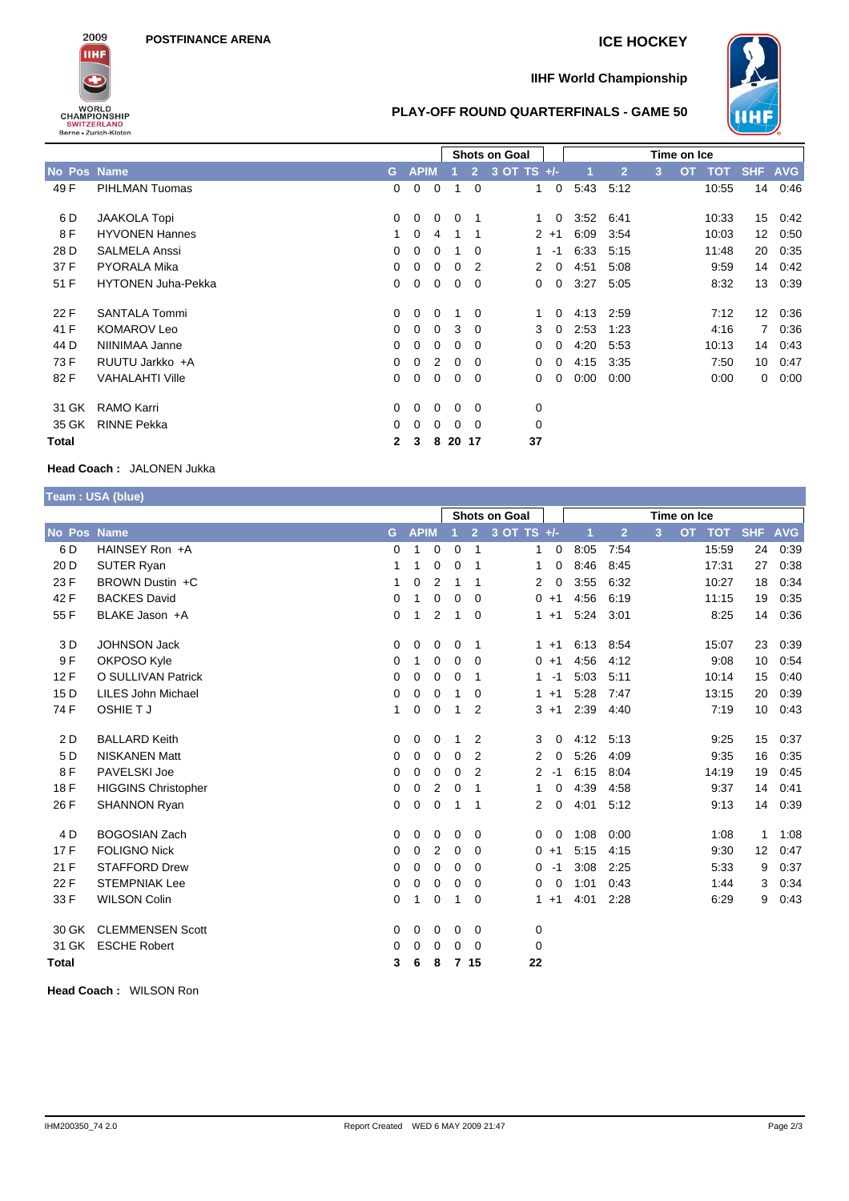**POSTFINANCE ARENA ICE HOCKEY**



## **IIHF World Championship**

\_\_\_\_\_\_\_



## **PLAY-OFF ROUND QUARTERFINALS - GAME 50**

|              |                           |                |                |                | Shots on Goal  |                |                      |                | Time on Ice |                |   |           |            |                 |            |
|--------------|---------------------------|----------------|----------------|----------------|----------------|----------------|----------------------|----------------|-------------|----------------|---|-----------|------------|-----------------|------------|
| No Pos Name  |                           | G.             | <b>APIM</b>    |                |                | $\overline{2}$ | $3$ OT TS $+/-$      |                |             | $\overline{2}$ | 3 | <b>OT</b> | <b>TOT</b> | <b>SHF</b>      | <b>AVG</b> |
| 49 F         | PIHLMAN Tuomas            | $\Omega$       | $\overline{0}$ | $\mathbf 0$    | -1             | $\Omega$       | $\mathbf{1}$         | $\overline{0}$ | 5:43        | 5:12           |   |           | 10:55      | 14              | 0:46       |
| 6 D          | <b>JAAKOLA Topi</b>       | $\Omega$       | $\Omega$       | $\Omega$       | $\Omega$       | - 1            | 1                    | $\mathbf{0}$   | 3:52        | 6:41           |   |           | 10:33      | 15              | 0.42       |
| 8 F          | <b>HYVONEN Hannes</b>     |                | $\Omega$       | 4              | 1              | -1             |                      | $2 + 1$        | 6:09        | 3:54           |   |           | 10:03      | 12 <sup>2</sup> | 0:50       |
| 28 D         | <b>SALMELA Anssi</b>      | $\Omega$       | $\Omega$       | $\Omega$       |                | $\Omega$       | 1.                   | $-1$           | 6:33        | 5:15           |   |           | 11:48      | 20              | 0:35       |
| 37 F         | <b>PYORALA Mika</b>       | $\Omega$       | 0              | 0              | 0              | -2             | $\mathbf{2}^{\circ}$ | 0              | 4:51        | 5:08           |   |           | 9:59       | 14              | 0.42       |
| 51 F         | <b>HYTONEN Juha-Pekka</b> | $\Omega$       | 0              | $\mathbf{0}$   | $\mathbf{0}$   | - 0            | 0                    | 0              | 3:27        | 5:05           |   |           | 8:32       | 13              | 0:39       |
| 22 F         | <b>SANTALA Tommi</b>      | $\Omega$       | $\overline{0}$ | $\mathbf 0$    | -1             | $\overline{0}$ | 1                    | $\mathbf{0}$   | 4:13        | 2:59           |   |           | 7:12       | 12 <sup>°</sup> | 0:36       |
| 41 F         | <b>KOMAROV Leo</b>        | $\Omega$       | $\Omega$       | $\Omega$       | 3              | $\Omega$       | 3                    | $\overline{0}$ | 2:53        | 1:23           |   |           | 4:16       | $7^{\circ}$     | 0:36       |
| 44 D         | NIINIMAA Janne            | $\Omega$       | $\mathbf{0}$   | $\mathbf{0}$   | $\mathbf{0}$   | $\overline{0}$ | $\mathbf{0}$         | 0              | 4:20        | 5:53           |   |           | 10:13      | 14              | 0.43       |
| 73 F         | RUUTU Jarkko +A           | $\Omega$       | $\overline{0}$ | 2              | $\mathbf 0$    | $\overline{0}$ | $\mathbf{0}$         | $\mathbf 0$    | 4:15        | 3:35           |   |           | 7:50       | 10              | 0:47       |
| 82 F         | VAHALAHTI Ville           | $\Omega$       | $\overline{0}$ | $\overline{0}$ | $\overline{0}$ | - 0            | $\mathbf{0}$         | $\mathbf{0}$   | 0:00        | 0:00           |   |           | 0:00       | $\Omega$        | 0:00       |
| 31 GK        | <b>RAMO Karri</b>         | $\Omega$       | $\Omega$       | $\Omega$       | $\mathbf{0}$   | $\overline{0}$ | 0                    |                |             |                |   |           |            |                 |            |
| 35 GK        | <b>RINNE Pekka</b>        | 0              | $\Omega$       | $\Omega$       | $\Omega$       | - 0            | 0                    |                |             |                |   |           |            |                 |            |
| <b>Total</b> |                           | $\overline{2}$ | 3              | 8              | 20 17          |                | 37                   |                |             |                |   |           |            |                 |            |

## **Head Coach :** JALONEN Jukka

|                 | Team: USA (blue)           |              |             |                |                |                |                      |         |             |                |   |  |        |            |            |
|-----------------|----------------------------|--------------|-------------|----------------|----------------|----------------|----------------------|---------|-------------|----------------|---|--|--------|------------|------------|
|                 |                            |              |             |                |                |                | <b>Shots on Goal</b> |         | Time on Ice |                |   |  |        |            |            |
| No Pos Name     |                            | G            | <b>APIM</b> |                |                | $\overline{2}$ | 3 OT TS +/-          |         | 1           | $\overline{2}$ | 3 |  | OT TOT | <b>SHF</b> | <b>AVG</b> |
| 6 D             | HAINSEY Ron +A             | 0            | 1           | 0              | 0              | $\mathbf 1$    | 1                    | 0       | 8:05        | 7:54           |   |  | 15:59  | 24         | 0:39       |
| 20 D            | SUTER Ryan                 | 1            | 1           | 0              | $\mathbf 0$    | $\mathbf 1$    | 1                    | 0       | 8:46        | 8:45           |   |  | 17:31  | 27         | 0:38       |
| 23 F            | BROWN Dustin +C            | 1            | 0           | $\overline{2}$ | 1              | -1             | 2                    | 0       | 3:55        | 6:32           |   |  | 10:27  | 18         | 0:34       |
| 42 F            | <b>BACKES David</b>        | 0            | 1           | 0              | $\mathbf 0$    | $\Omega$       | $0 + 1$              |         | 4:56        | 6:19           |   |  | 11:15  | 19         | 0:35       |
| 55 F            | BLAKE Jason +A             | 0            | 1           | 2              | 1              | $\Omega$       |                      | $1 + 1$ | 5:24        | 3:01           |   |  | 8:25   | 14         | 0:36       |
| 3 D             | <b>JOHNSON Jack</b>        | 0            | 0           | 0              | 0              | $\overline{1}$ |                      | $1 + 1$ | 6:13        | 8:54           |   |  | 15:07  | 23         | 0:39       |
| 9F              | OKPOSO Kyle                | 0            | 1           | 0              | 0              | 0              | $0 + 1$              |         | 4:56        | 4:12           |   |  | 9:08   | 10         | 0:54       |
| 12F             | O SULLIVAN Patrick         | 0            | 0           | 0              | $\mathbf 0$    | $\overline{1}$ | 1                    | $-1$    | 5:03        | 5:11           |   |  | 10:14  | 15         | 0:40       |
| 15 <sub>D</sub> | <b>LILES John Michael</b>  | 0            | 0           | $\mathbf 0$    | 1              | $\Omega$       | $1 + 1$              |         | 5:28        | 7:47           |   |  | 13:15  | 20         | 0:39       |
| 74 F            | OSHIE TJ                   | $\mathbf{1}$ | $\mathbf 0$ | 0              | 1              | 2              | $3 + 1$              |         | 2:39        | 4:40           |   |  | 7:19   | 10         | 0:43       |
| 2 D             | <b>BALLARD Keith</b>       | 0            | 0           | 0              | 1              | $\overline{2}$ | 3                    | 0       | 4:12        | 5:13           |   |  | 9:25   | 15         | 0:37       |
| 5 D             | <b>NISKANEN Matt</b>       | 0            | 0           | 0              | 0              | $\overline{2}$ | 2                    | 0       | 5:26        | 4:09           |   |  | 9:35   | 16         | 0:35       |
| 8F              | PAVELSKI Joe               | 0            | 0           | 0              | $\Omega$       | 2              | 2                    | $-1$    | 6:15        | 8:04           |   |  | 14:19  | 19         | 0:45       |
| 18 F            | <b>HIGGINS Christopher</b> | 0            | $\mathbf 0$ | $\overline{2}$ | 0              | $\mathbf 1$    | 1                    | 0       | 4:39        | 4:58           |   |  | 9:37   | 14         | 0:41       |
| 26 F            | <b>SHANNON Ryan</b>        | 0            | 0           | 0              | 1              | $\overline{1}$ | 2                    | 0       | 4:01        | 5:12           |   |  | 9:13   | 14         | 0:39       |
| 4 D             | <b>BOGOSIAN Zach</b>       | 0            | 0           | 0              | 0              | $\Omega$       | 0                    | 0       | 1:08        | 0:00           |   |  | 1:08   | 1          | 1:08       |
| 17F             | <b>FOLIGNO Nick</b>        | 0            | 0           | 2              | 0              | $\Omega$       | $0 + 1$              |         | 5:15        | 4:15           |   |  | 9:30   | 12         | 0:47       |
| 21 F            | <b>STAFFORD Drew</b>       | 0            | 0           | 0              | 0              | $\Omega$       | 0                    | $-1$    | 3:08        | 2:25           |   |  | 5:33   | 9          | 0:37       |
| 22 F            | <b>STEMPNIAK Lee</b>       | 0            | 0           | 0              | 0              | $\mathbf 0$    | 0                    | 0       | 1:01        | 0:43           |   |  | 1.44   | 3          | 0:34       |
| 33 F            | <b>WILSON Colin</b>        | 0            | 1           | 0              | 1              | $\mathbf 0$    |                      | $1 + 1$ | 4:01        | 2:28           |   |  | 6:29   | 9          | 0:43       |
| 30 GK           | <b>CLEMMENSEN Scott</b>    | 0            | 0           | 0              | 0              | $\mathbf 0$    | 0                    |         |             |                |   |  |        |            |            |
| 31 GK           | <b>ESCHE Robert</b>        | 0            | 0           | 0              | 0              | $\Omega$       | 0                    |         |             |                |   |  |        |            |            |
| <b>Total</b>    |                            | 3            | 6           | 8              | $\overline{7}$ | 15             | 22                   |         |             |                |   |  |        |            |            |

**Head Coach :** WILSON Ron